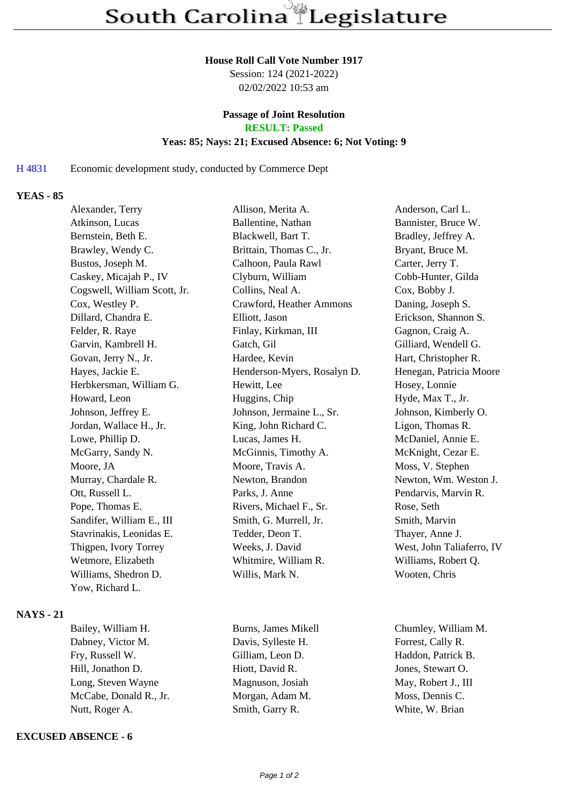#### **House Roll Call Vote Number 1917**

Session: 124 (2021-2022) 02/02/2022 10:53 am

# **Passage of Joint Resolution**

**RESULT: Passed**

### **Yeas: 85; Nays: 21; Excused Absence: 6; Not Voting: 9**

H 4831 Economic development study, conducted by Commerce Dept

### **YEAS - 85**

| Alexander, Terry             | Allison, Merita A.          | Anderson, Carl L.         |
|------------------------------|-----------------------------|---------------------------|
| Atkinson, Lucas              | Ballentine, Nathan          | Bannister, Bruce W.       |
| Bernstein, Beth E.           | Blackwell, Bart T.          | Bradley, Jeffrey A.       |
| Brawley, Wendy C.            | Brittain, Thomas C., Jr.    | Bryant, Bruce M.          |
| Bustos, Joseph M.            | Calhoon, Paula Rawl         | Carter, Jerry T.          |
| Caskey, Micajah P., IV       | Clyburn, William            | Cobb-Hunter, Gilda        |
| Cogswell, William Scott, Jr. | Collins, Neal A.            | Cox, Bobby J.             |
| Cox, Westley P.              | Crawford, Heather Ammons    | Daning, Joseph S.         |
| Dillard, Chandra E.          | Elliott, Jason              | Erickson, Shannon S.      |
| Felder, R. Raye              | Finlay, Kirkman, III        | Gagnon, Craig A.          |
| Garvin, Kambrell H.          | Gatch, Gil                  | Gilliard, Wendell G.      |
| Govan, Jerry N., Jr.         | Hardee, Kevin               | Hart, Christopher R.      |
| Hayes, Jackie E.             | Henderson-Myers, Rosalyn D. | Henegan, Patricia Moore   |
| Herbkersman, William G.      | Hewitt, Lee                 | Hosey, Lonnie             |
| Howard, Leon                 | Huggins, Chip               | Hyde, Max T., Jr.         |
| Johnson, Jeffrey E.          | Johnson, Jermaine L., Sr.   | Johnson, Kimberly O.      |
| Jordan, Wallace H., Jr.      | King, John Richard C.       | Ligon, Thomas R.          |
| Lowe, Phillip D.             | Lucas, James H.             | McDaniel, Annie E.        |
| McGarry, Sandy N.            | McGinnis, Timothy A.        | McKnight, Cezar E.        |
| Moore, JA                    | Moore, Travis A.            | Moss, V. Stephen          |
| Murray, Chardale R.          | Newton, Brandon             | Newton, Wm. Weston J.     |
| Ott, Russell L.              | Parks, J. Anne              | Pendarvis, Marvin R.      |
| Pope, Thomas E.              | Rivers, Michael F., Sr.     | Rose, Seth                |
| Sandifer, William E., III    | Smith, G. Murrell, Jr.      | Smith, Marvin             |
| Stavrinakis, Leonidas E.     | Tedder, Deon T.             | Thayer, Anne J.           |
| Thigpen, Ivory Torrey        | Weeks, J. David             | West, John Taliaferro, IV |
| Wetmore, Elizabeth           | Whitmire, William R.        | Williams, Robert Q.       |
| Williams, Shedron D.         | Willis, Mark N.             | Wooten, Chris             |
| Yow, Richard L.              |                             |                           |
|                              |                             |                           |

### **NAYS - 21**

Bailey, William H. Burns, James Mikell Chumley, William M. Dabney, Victor M. Davis, Sylleste H. Forrest, Cally R. Fry, Russell W. Gilliam, Leon D. Haddon, Patrick B. Hill, Jonathon D. Hiott, David R. Jones, Stewart O. Long, Steven Wayne Magnuson, Josiah May, Robert J., III McCabe, Donald R., Jr. Morgan, Adam M. Moss, Dennis C. Nutt, Roger A. Smith, Garry R. White, W. Brian

## **EXCUSED ABSENCE - 6**